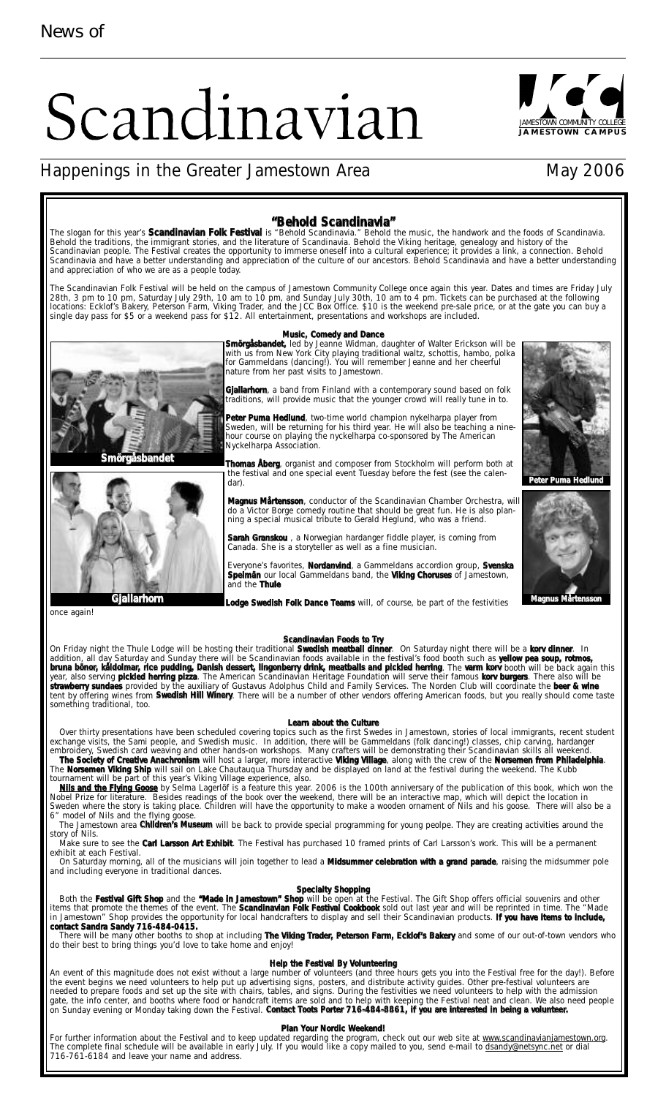# Scandinavian



## JAMESTOWN COMMUNITY COLLEGE **JAMESTOWN CAMPUS**



bruna bönor, kåldolmar, rice pudding, Danish dessert, lingonberry drink, meatballs and pickled herring. The varm korv booth will be back again this year, also serving **pickled herring pizza**. The American Scandinavian Heritage Foundation will serve their famous **korv burgers**. There also will be **strawberry sundaes** provided by the auxiliary of Gustavus Adolphus Child and Family Services. The Norden Club will coordinate the **beer & wine** tent by offering wines from **Swedish Hill Winery**. There will be a number of other vendors offering American foods, but you really should come taste something traditional, too.

#### **Learn about the Culture**

Over thirty presentations have been scheduled covering topics such as the first Swedes in Jamestown, stories of local immigrants, recent student exchange visits, the Sami people, and Swedish music. In addition, there will be Gammeldans (folk dancing!) classes, chip carving, hardanger embroidery, Swedish card weaving and other hands-on workshops. Many crafters will be demonstrating their Scandinavian skills all weekend. **The Society of Creative Anachronism** will host a larger, more interactive **Viking Village**, along with the crew of the **Norsemen from Philadelphia**.

The **Norsemen Viking Ship** will sail on Lake Chautauqua Thursday and be displayed on land at the festival during the weekend. The Kubb tournament will be part of this year's Viking Village experience, also. **Nils and the Flying Goose** by Selma Lagerlöf is a feature this year. 2006 is the 100th anniversary of the publication of this book, which won the

Nobel Prize for literature. Besides readings of the book over the weekend, there will be an interactive map, which will depict the location in Sweden where the story is taking place. Children will have the opportunity to make a wooden ornament of Nils and his goose. There will also be a 6" model of Nils and the flying goose.

The Jamestown area **Children's Museum** will be back to provide special programming for young peolpe. They are creating activities around the story of Nils. Make sure to see the **Carl Larsson Art Exhibit**. The Festival has purchased 10 framed prints of Carl Larsson's work. This will be a permanent

exhibit at each Festival. On Saturday morning, all of the musicians will join together to lead a **Midsummer celebration with a grand parade**, raising the midsummer pole and including everyone in traditional dances.

**Specialty Shopping**

Both the **Festival Gift Shop** and the **"Made in Jamestown" Shop** will be open at the Festival. The Gift Shop offers official souvenirs and other items that promote the themes of the event. The **Scandinavian Folk Festival Cookbook** sold out last year and will be reprinted in time. The "Made in Jamestown" Shop provides the opportunity for local handcrafters to display and sell their Scandinavian products. **If you have items to include, contact Sandra Sandy 716-484-0415.**

There will be many other booths to shop at including **The Viking Trader, Peterson Farm, Ecklof's Bakery** and some of our out-of-town vendors who do their best to bring things you'd love to take home and enjoy!

#### **Help the Festival By Volunteering**

An event of this magnitude does not exist without a large number of volunteers (and three hours gets you into the Festival free for the day!). Before the event begins we need volunteers to help put up advertising signs, posters, and distribute activity guides. Other pre-festival volunteers are needed to prepare foods and set up the site with chairs, tables, and signs. During the festivities we need volunteers to help with the admission gate, the info center, and booths where food or handcraft items are sold and to help with keeping the Festival neat and clean. We also need people on Sunday evening or Monday taking down the Festival. **Contact Toots Porter 716-484-8861, if you are interested in being a volunteer.**

#### **Plan Your Nordic Weekend!**

For further information about the Festival and to keep updated regarding the program, check out our web site at www.scandinavianjamestown.org. The complete final schedule will be available in early July. If you would like a copy mailed to you, send e-mail to dsandy@netsync.net or dial 716-761-6184 and leave your name and address.